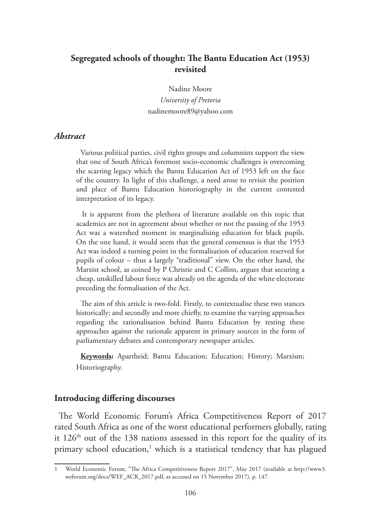# **Segregated schools of thought: The Bantu Education Act (1953) revisited**

Nadine Moore *University of Pretoria*  nadinemoore89@yahoo.com

#### *Abstract*

Various political parties, civil rights groups and columnists support the view that one of South Africa's foremost socio-economic challenges is overcoming the scarring legacy which the Bantu Education Act of 1953 left on the face of the country. In light of this challenge, a need arose to revisit the position and place of Bantu Education historiography in the current contested interpretation of its legacy.

It is apparent from the plethora of literature available on this topic that academics are not in agreement about whether or not the passing of the 1953 Act was a watershed moment in marginalising education for black pupils. On the one hand, it would seem that the general consensus is that the 1953 Act was indeed a turning point in the formalisation of education reserved for pupils of colour – thus a largely "traditional" view. On the other hand, the Marxist school, as coined by P Christie and C Collins, argues that securing a cheap, unskilled labour force was already on the agenda of the white electorate preceding the formalisation of the Act.

The aim of this article is two-fold. Firstly, to contextualise these two stances historically; and secondly and more chiefly, to examine the varying approaches regarding the rationalisation behind Bantu Education by testing these approaches against the rationale apparent in primary sources in the form of parliamentary debates and contemporary newspaper articles.

**Keywords:** Apartheid; Bantu Education; Education; History; Marxism; Historiography.

#### **Introducing differing discourses**

The World Economic Forum's Africa Competitiveness Report of 2017 rated South Africa as one of the worst educational performers globally, rating it  $126<sup>th</sup>$  out of the 138 nations assessed in this report for the quality of its primary school education,<sup>1</sup> which is a statistical tendency that has plagued

<sup>1</sup> World Economic Forum, "The Africa Competitiveness Report 2017", May 2017 (available at http://www3. weforum.org/docs/WEF\_ACR\_2017.pdf, as accessed on 15 November 2017), p. 147.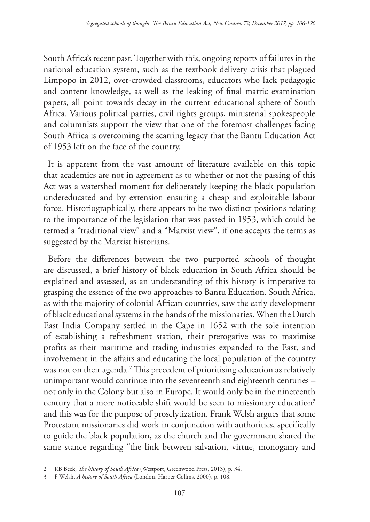South Africa's recent past. Together with this, ongoing reports of failures in the national education system, such as the textbook delivery crisis that plagued Limpopo in 2012, over-crowded classrooms, educators who lack pedagogic and content knowledge, as well as the leaking of final matric examination papers, all point towards decay in the current educational sphere of South Africa. Various political parties, civil rights groups, ministerial spokespeople and columnists support the view that one of the foremost challenges facing South Africa is overcoming the scarring legacy that the Bantu Education Act of 1953 left on the face of the country.

It is apparent from the vast amount of literature available on this topic that academics are not in agreement as to whether or not the passing of this Act was a watershed moment for deliberately keeping the black population undereducated and by extension ensuring a cheap and exploitable labour force. Historiographically, there appears to be two distinct positions relating to the importance of the legislation that was passed in 1953, which could be termed a "traditional view" and a "Marxist view", if one accepts the terms as suggested by the Marxist historians.

Before the differences between the two purported schools of thought are discussed, a brief history of black education in South Africa should be explained and assessed, as an understanding of this history is imperative to grasping the essence of the two approaches to Bantu Education. South Africa, as with the majority of colonial African countries, saw the early development of black educational systems in the hands of the missionaries. When the Dutch East India Company settled in the Cape in 1652 with the sole intention of establishing a refreshment station, their prerogative was to maximise profits as their maritime and trading industries expanded to the East, and involvement in the affairs and educating the local population of the country was not on their agenda.<sup>2</sup> This precedent of prioritising education as relatively unimportant would continue into the seventeenth and eighteenth centuries – not only in the Colony but also in Europe. It would only be in the nineteenth century that a more noticeable shift would be seen to missionary education<sup>3</sup> and this was for the purpose of proselytization. Frank Welsh argues that some Protestant missionaries did work in conjunction with authorities, specifically to guide the black population, as the church and the government shared the same stance regarding "the link between salvation, virtue, monogamy and

<sup>2</sup> RB Beck, *The history of South Africa* (Westport, Greenwood Press, 2013), p. 34.

<sup>3</sup> F Welsh, *A history of South Africa* (London, Harper Collins, 2000), p. 108.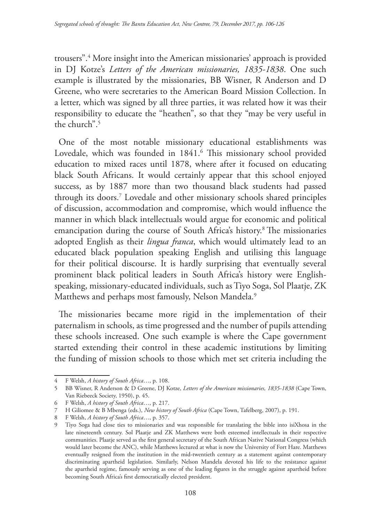trousers".4 More insight into the American missionaries' approach is provided in DJ Kotze's *Letters of the American missionaries, 1835-1838*. One such example is illustrated by the missionaries, BB Wisner, R Anderson and D Greene, who were secretaries to the American Board Mission Collection. In a letter, which was signed by all three parties, it was related how it was their responsibility to educate the "heathen", so that they "may be very useful in the church".5

One of the most notable missionary educational establishments was Lovedale, which was founded in 1841.<sup>6</sup> This missionary school provided education to mixed races until 1878, where after it focused on educating black South Africans. It would certainly appear that this school enjoyed success, as by 1887 more than two thousand black students had passed through its doors.7 Lovedale and other missionary schools shared principles of discussion, accommodation and compromise, which would influence the manner in which black intellectuals would argue for economic and political emancipation during the course of South Africa's history.8 The missionaries adopted English as their *lingua franca*, which would ultimately lead to an educated black population speaking English and utilising this language for their political discourse. It is hardly surprising that eventually several prominent black political leaders in South Africa's history were Englishspeaking, missionary-educated individuals, such as Tiyo Soga, Sol Plaatje, ZK Matthews and perhaps most famously, Nelson Mandela.<sup>9</sup>

The missionaries became more rigid in the implementation of their paternalism in schools, as time progressed and the number of pupils attending these schools increased. One such example is where the Cape government started extending their control in these academic institutions by limiting the funding of mission schools to those which met set criteria including the

<sup>4</sup> F Welsh, *A history of South Africa*…, p. 108.

<sup>5</sup> BB Wisner, R Anderson & D Greene, DJ Kotze, *Letters of the American missionaries, 1835-1838* (Cape Town, Van Riebeeck Society, 1950), p. 45.

<sup>6</sup> F Welsh, *A history of South Africa*…, p. 217.

<sup>7</sup> H Giliomee & B Mbenga (eds.), *New history of South Africa* (Cape Town, Tafelberg, 2007), p. 191.

<sup>8</sup> F Welsh, *A history of South Africa*…, p. 357.

<sup>9</sup> Tiyo Soga had close ties to missionaries and was responsible for translating the bible into isiXhosa in the late nineteenth century. Sol Plaatje and ZK Matthews were both esteemed intellectuals in their respective communities. Plaatje served as the first general secretary of the South African Native National Congress (which would later become the ANC), while Matthews lectured at what is now the University of Fort Hare. Matthews eventually resigned from the institution in the mid-twentieth century as a statement against contemporary discriminating apartheid legislation. Similarly, Nelson Mandela devoted his life to the resistance against the apartheid regime, famously serving as one of the leading figures in the struggle against apartheid before becoming South Africa's first democratically elected president.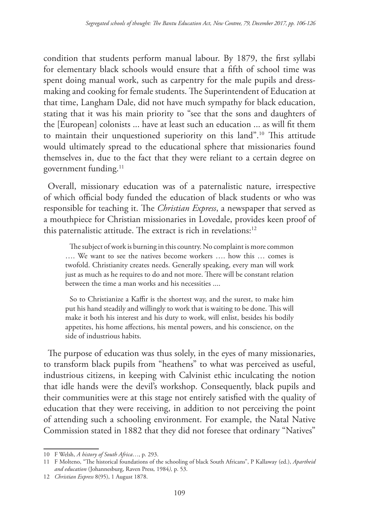condition that students perform manual labour. By 1879, the first syllabi for elementary black schools would ensure that a fifth of school time was spent doing manual work, such as carpentry for the male pupils and dressmaking and cooking for female students. The Superintendent of Education at that time, Langham Dale, did not have much sympathy for black education, stating that it was his main priority to "see that the sons and daughters of the [European] colonists ... have at least such an education ... as will fit them to maintain their unquestioned superiority on this land".10 This attitude would ultimately spread to the educational sphere that missionaries found themselves in, due to the fact that they were reliant to a certain degree on government funding.<sup>11</sup>

Overall, missionary education was of a paternalistic nature, irrespective of which official body funded the education of black students or who was responsible for teaching it. The *Christian Express*, a newspaper that served as a mouthpiece for Christian missionaries in Lovedale, provides keen proof of this paternalistic attitude. The extract is rich in revelations:<sup>12</sup>

The subject of work is burning in this country. No complaint is more common …. We want to see the natives become workers …. how this … comes is twofold. Christianity creates needs. Generally speaking, every man will work just as much as he requires to do and not more. There will be constant relation between the time a man works and his necessities ....

So to Christianize a Kaffir is the shortest way, and the surest, to make him put his hand steadily and willingly to work that is waiting to be done. This will make it both his interest and his duty to work, will enlist, besides his bodily appetites, his home affections, his mental powers, and his conscience, on the side of industrious habits.

The purpose of education was thus solely, in the eyes of many missionaries, to transform black pupils from "heathens" to what was perceived as useful, industrious citizens, in keeping with Calvinist ethic inculcating the notion that idle hands were the devil's workshop. Consequently, black pupils and their communities were at this stage not entirely satisfied with the quality of education that they were receiving, in addition to not perceiving the point of attending such a schooling environment. For example, the Natal Native Commission stated in 1882 that they did not foresee that ordinary "Natives"

<sup>10</sup> F Welsh, *A history of South Africa*…, p. 293.

<sup>11</sup> F Molteno, "The historical foundations of the schooling of black South Africans", P Kallaway (ed.), *Apartheid and education* (Johannesburg, Raven Press*,* 1984*),* p. 53.

<sup>12</sup> *Christian Express* 8(95), 1 August 1878.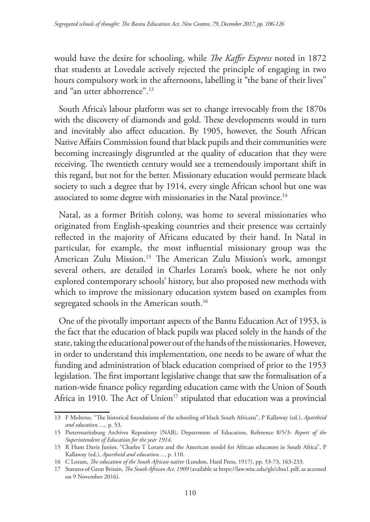would have the desire for schooling, while *The Kaffir Express* noted in 1872 that students at Lovedale actively rejected the principle of engaging in two hours compulsory work in the afternoons, labelling it "the bane of their lives" and "an utter abhorrence".13

South Africa's labour platform was set to change irrevocably from the 1870s with the discovery of diamonds and gold. These developments would in turn and inevitably also affect education. By 1905, however, the South African Native Affairs Commission found that black pupils and their communities were becoming increasingly disgruntled at the quality of education that they were receiving. The twentieth century would see a tremendously important shift in this regard, but not for the better. Missionary education would permeate black society to such a degree that by 1914, every single African school but one was associated to some degree with missionaries in the Natal province.<sup>14</sup>

Natal, as a former British colony, was home to several missionaries who originated from English-speaking countries and their presence was certainly reflected in the majority of Africans educated by their hand. In Natal in particular, for example, the most influential missionary group was the American Zulu Mission.15 The American Zulu Mission's work, amongst several others, are detailed in Charles Loram's book, where he not only explored contemporary schools' history, but also proposed new methods with which to improve the missionary education system based on examples from segregated schools in the American south.<sup>16</sup>

One of the pivotally important aspects of the Bantu Education Act of 1953, is the fact that the education of black pupils was placed solely in the hands of the state, taking the educational power out of the hands of the missionaries. However, in order to understand this implementation, one needs to be aware of what the funding and administration of black education comprised of prior to the 1953 legislation. The first important legislative change that saw the formalisation of a nation-wide finance policy regarding education came with the Union of South Africa in 1910. The Act of Union<sup>17</sup> stipulated that education was a provincial

<sup>13</sup> F Molteno, "The historical foundations of the schooling of black South Africans", P Kallaway (ed.), *Apartheid and education…,.* p. 53.

<sup>15</sup> Pietermaritzburg Archives Repository (NAB), Department of Education, Reference 8/5/3: *Report of the Superintendent of Education for the year 1914.*

<sup>15</sup> R Hunt Davis Junior, "Charles T Loram and the American model for African educators in South Africa", P Kallaway (ed.), *Apartheid and education…,* p. 110.

<sup>16</sup> C Loram, *The education of the South African native* (London, Hard Press, 1917), pp. 53-73, 163-233.

<sup>17</sup> Statutes of Great Britain, *The South African Act, 1909* (available at https://law.wisc.edu/gls/cbsa1.pdf, as accessed on 9 November 2016).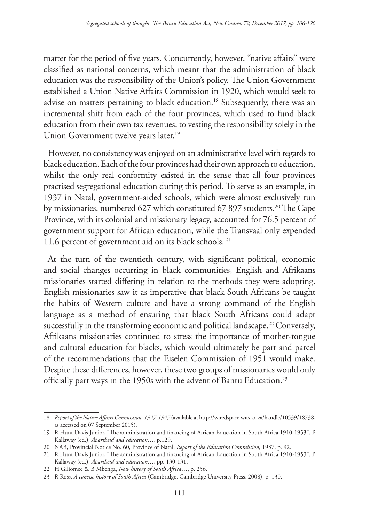matter for the period of five years. Concurrently, however, "native affairs" were classified as national concerns, which meant that the administration of black education was the responsibility of the Union's policy. The Union Government established a Union Native Affairs Commission in 1920, which would seek to advise on matters pertaining to black education.<sup>18</sup> Subsequently, there was an incremental shift from each of the four provinces, which used to fund black education from their own tax revenues, to vesting the responsibility solely in the Union Government twelve years later.<sup>19</sup>

However, no consistency was enjoyed on an administrative level with regards to black education. Each of the four provinces had their own approach to education, whilst the only real conformity existed in the sense that all four provinces practised segregational education during this period. To serve as an example, in 1937 in Natal, government-aided schools, which were almost exclusively run by missionaries, numbered 627 which constituted 67 897 students.<sup>20</sup> The Cape Province, with its colonial and missionary legacy, accounted for 76.5 percent of government support for African education, while the Transvaal only expended 11.6 percent of government aid on its black schools. 21

At the turn of the twentieth century, with significant political, economic and social changes occurring in black communities, English and Afrikaans missionaries started differing in relation to the methods they were adopting. English missionaries saw it as imperative that black South Africans be taught the habits of Western culture and have a strong command of the English language as a method of ensuring that black South Africans could adapt successfully in the transforming economic and political landscape.<sup>22</sup> Conversely, Afrikaans missionaries continued to stress the importance of mother-tongue and cultural education for blacks, which would ultimately be part and parcel of the recommendations that the Eiselen Commission of 1951 would make. Despite these differences, however, these two groups of missionaries would only officially part ways in the 1950s with the advent of Bantu Education.23

<sup>18</sup> *Report of the Native Affairs Commission, 1927-1947* (available at http://wiredspace.wits.ac.za/handle/10539/18738, as accessed on 07 September 2015).

<sup>19</sup> R Hunt Davis Junior, "The administration and financing of African Education in South Africa 1910-1953", P Kallaway (ed.), *Apartheid and education*…, p.129.

<sup>20</sup> NAB, Provincial Notice No. 60, Province of Natal, *Report of the Education Commission*, 1937, p. 92.

<sup>21</sup> R Hunt Davis Junior, "The administration and financing of African Education in South Africa 1910-1953", P Kallaway (ed.), *Apartheid and education*…, pp. 130-131.

<sup>22</sup> H Giliomee & B Mbenga, *New history of South Africa*…, p. 256.

<sup>23</sup> R Ross, *A concise history of South Africa* (Cambridge, Cambridge University Press, 2008), p. 130.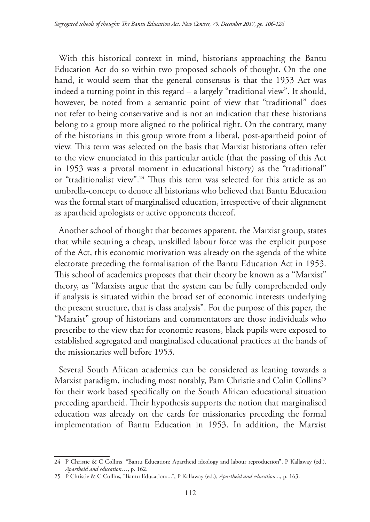With this historical context in mind, historians approaching the Bantu Education Act do so within two proposed schools of thought. On the one hand, it would seem that the general consensus is that the 1953 Act was indeed a turning point in this regard – a largely "traditional view". It should, however, be noted from a semantic point of view that "traditional" does not refer to being conservative and is not an indication that these historians belong to a group more aligned to the political right. On the contrary, many of the historians in this group wrote from a liberal, post-apartheid point of view. This term was selected on the basis that Marxist historians often refer to the view enunciated in this particular article (that the passing of this Act in 1953 was a pivotal moment in educational history) as the "traditional" or "traditionalist view".<sup>24</sup> Thus this term was selected for this article as an umbrella-concept to denote all historians who believed that Bantu Education was the formal start of marginalised education, irrespective of their alignment as apartheid apologists or active opponents thereof.

Another school of thought that becomes apparent, the Marxist group, states that while securing a cheap, unskilled labour force was the explicit purpose of the Act, this economic motivation was already on the agenda of the white electorate preceding the formalisation of the Bantu Education Act in 1953. This school of academics proposes that their theory be known as a "Marxist" theory, as "Marxists argue that the system can be fully comprehended only if analysis is situated within the broad set of economic interests underlying the present structure, that is class analysis". For the purpose of this paper, the "Marxist" group of historians and commentators are those individuals who prescribe to the view that for economic reasons, black pupils were exposed to established segregated and marginalised educational practices at the hands of the missionaries well before 1953.

Several South African academics can be considered as leaning towards a Marxist paradigm, including most notably, Pam Christie and Colin Collins25 for their work based specifically on the South African educational situation preceding apartheid. Their hypothesis supports the notion that marginalised education was already on the cards for missionaries preceding the formal implementation of Bantu Education in 1953. In addition, the Marxist

<sup>24</sup> P Christie & C Collins, "Bantu Education: Apartheid ideology and labour reproduction", P Kallaway (ed.), *Apartheid and education…*, p. 162.

<sup>25</sup> P Christie & C Collins, "Bantu Education:...", P Kallaway (ed.), *Apartheid and education..*., p. 163.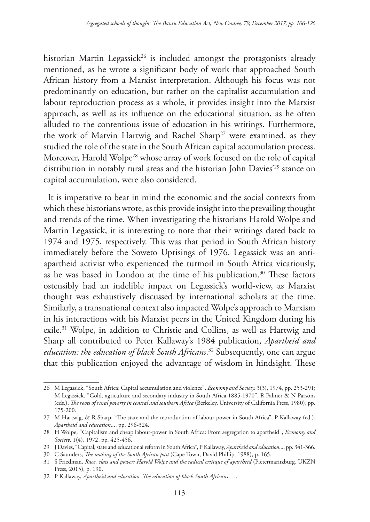historian Martin Legassick<sup>26</sup> is included amongst the protagonists already mentioned, as he wrote a significant body of work that approached South African history from a Marxist interpretation. Although his focus was not predominantly on education, but rather on the capitalist accumulation and labour reproduction process as a whole, it provides insight into the Marxist approach, as well as its influence on the educational situation, as he often alluded to the contentious issue of education in his writings. Furthermore, the work of Marvin Hartwig and Rachel Sharp<sup>27</sup> were examined, as they studied the role of the state in the South African capital accumulation process. Moreover, Harold Wolpe<sup>28</sup> whose array of work focused on the role of capital distribution in notably rural areas and the historian John Davies<sup>'29</sup> stance on capital accumulation, were also considered.

It is imperative to bear in mind the economic and the social contexts from which these historians wrote, as this provide insight into the prevailing thought and trends of the time. When investigating the historians Harold Wolpe and Martin Legassick, it is interesting to note that their writings dated back to 1974 and 1975, respectively. This was that period in South African history immediately before the Soweto Uprisings of 1976. Legassick was an antiapartheid activist who experienced the turmoil in South Africa vicariously, as he was based in London at the time of his publication.<sup>30</sup> These factors ostensibly had an indelible impact on Legassick's world-view, as Marxist thought was exhaustively discussed by international scholars at the time. Similarly, a transnational context also impacted Wolpe's approach to Marxism in his interactions with his Marxist peers in the United Kingdom during his exile.31 Wolpe, in addition to Christie and Collins, as well as Hartwig and Sharp all contributed to Peter Kallaway's 1984 publication, *Apartheid and education: the education of black South Africans*. 32 Subsequently, one can argue that this publication enjoyed the advantage of wisdom in hindsight. These

<sup>26</sup> M Legassick, "South Africa: Capital accumulation and violence", *Economy and Society,* 3(3), 1974, pp. 253-291; M Legassick, "Gold, agriculture and secondary industry in South Africa 1885-1970", R Palmer & N Parsons (eds.), *The roots of rural poverty in central and southern Africa* (Berkeley, University of California Press, 1980), pp. 175-200.

<sup>27</sup> M Hartwig, & R Sharp, "The state and the reproduction of labour power in South Africa", P Kallaway (ed.), *Apartheid and education*..., pp. 296-324.

<sup>28</sup> H Wolpe, "Capitalism and cheap labour-power in South Africa: From segregation to apartheid", *Economy and Society*, 1(4), 1972, pp. 425-456.

<sup>29</sup> J Davies, "Capital, state and educational reform in South Africa", P Kallaway, *Apartheid and education*..., pp. 341-366.

<sup>30</sup> C Saunders, *The making of the South African past* (Cape Town, David Phillip, 1988), p. 165.

<sup>31</sup> S Friedman, *Race, class and power: Harold Wolpe and the radical critique of apartheid* (Pietermaritzburg, UKZN Press, 2015), p. 190.

<sup>32</sup> P Kallaway, *Apartheid and education. The education of black South Africans*… .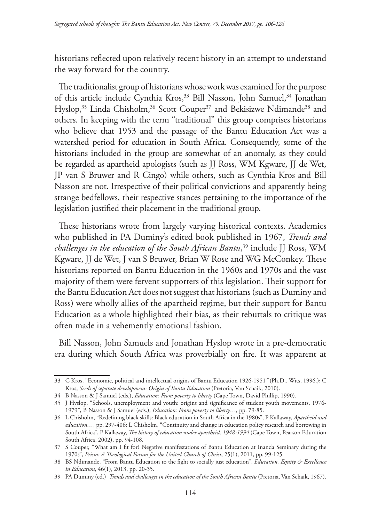historians reflected upon relatively recent history in an attempt to understand the way forward for the country.

The traditionalist group of historians whose work was examined for the purpose of this article include Cynthia Kros,<sup>33</sup> Bill Nasson, John Samuel,<sup>34</sup> Jonathan Hyslop,<sup>35</sup> Linda Chisholm,<sup>36</sup> Scott Couper<sup>37</sup> and Bekisizwe Ndimande<sup>38</sup> and others. In keeping with the term "traditional" this group comprises historians who believe that 1953 and the passage of the Bantu Education Act was a watershed period for education in South Africa. Consequently, some of the historians included in the group are somewhat of an anomaly, as they could be regarded as apartheid apologists (such as JJ Ross, WM Kgware, JJ de Wet, JP van S Bruwer and R Cingo) while others, such as Cynthia Kros and Bill Nasson are not. Irrespective of their political convictions and apparently being strange bedfellows, their respective stances pertaining to the importance of the legislation justified their placement in the traditional group.

These historians wrote from largely varying historical contexts. Academics who published in PA Duminy's edited book published in 1967, *Trends and challenges in the education of the South African Bantu*, 39 include JJ Ross, WM Kgware, JJ de Wet, J van S Bruwer, Brian W Rose and WG McConkey. These historians reported on Bantu Education in the 1960s and 1970s and the vast majority of them were fervent supporters of this legislation. Their support for the Bantu Education Act does not suggest that historians (such as Duminy and Ross) were wholly allies of the apartheid regime, but their support for Bantu Education as a whole highlighted their bias, as their rebuttals to critique was often made in a vehemently emotional fashion.

Bill Nasson, John Samuels and Jonathan Hyslop wrote in a pre-democratic era during which South Africa was proverbially on fire. It was apparent at

<sup>33</sup> C Kros, "Economic, political and intellectual origins of Bantu Education 1926-1951*"* (Ph.D., Wits, 1996.); C Kros, *Seeds of separate development: Origin of Bantu Education* (Pretoria, Van Schaik, 2010).

<sup>34</sup> B Nasson & J Samuel (eds.), *Education: From poverty to liberty* (Cape Town, David Phillip, 1990).

<sup>35</sup> J Hyslop, "Schools, unemployment and youth: origins and significance of student youth movements, 1976- 1979", B Nasson & J Samuel (eds.), *Education: From poverty to liberty*…, pp. 79-85.

<sup>36</sup> L Chisholm, "Redefining black skills: Black education in South Africa in the 1980s", P Kallaway, *Apartheid and education…,* pp. 297-406; L Chisholm, "Continuity and change in education policy research and borrowing in South Africa", P Kallaway, *The history of education under apartheid, 1948-1994* (Cape Town, Pearson Education South Africa, 2002), pp. 94-108.

<sup>37</sup> S Couper, "What am I fit for? Negative manifestations of Bantu Education at Inanda Seminary during the 1970s", *Prism: A Theological Forum for the United Church of Christ*, 25(1), 2011, pp. 99-125.

<sup>38</sup> BS Ndimande, "From Bantu Education to the fight to socially just education", *Education, Equity & Excellence in Education*, 46(1), 2013, pp. 20-35.

<sup>39</sup> PA Duminy (ed.), *Trends and challenges in the education of the South African Bantu* (Pretoria, Van Schaik, 1967).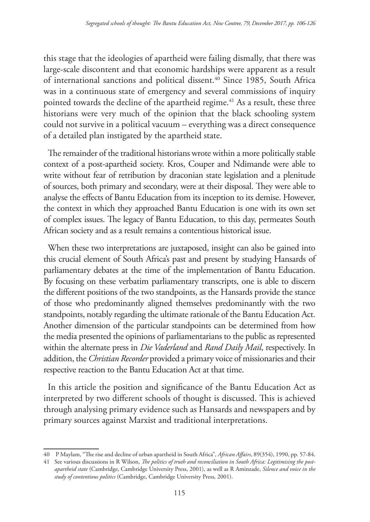this stage that the ideologies of apartheid were failing dismally, that there was large-scale discontent and that economic hardships were apparent as a result of international sanctions and political dissent.<sup>40</sup> Since 1985, South Africa was in a continuous state of emergency and several commissions of inquiry pointed towards the decline of the apartheid regime.<sup>41</sup> As a result, these three historians were very much of the opinion that the black schooling system could not survive in a political vacuum – everything was a direct consequence of a detailed plan instigated by the apartheid state.

The remainder of the traditional historians wrote within a more politically stable context of a post-apartheid society. Kros, Couper and Ndimande were able to write without fear of retribution by draconian state legislation and a plenitude of sources, both primary and secondary, were at their disposal. They were able to analyse the effects of Bantu Education from its inception to its demise. However, the context in which they approached Bantu Education is one with its own set of complex issues. The legacy of Bantu Education, to this day, permeates South African society and as a result remains a contentious historical issue.

When these two interpretations are juxtaposed, insight can also be gained into this crucial element of South Africa's past and present by studying Hansards of parliamentary debates at the time of the implementation of Bantu Education. By focusing on these verbatim parliamentary transcripts, one is able to discern the different positions of the two standpoints, as the Hansards provide the stance of those who predominantly aligned themselves predominantly with the two standpoints, notably regarding the ultimate rationale of the Bantu Education Act. Another dimension of the particular standpoints can be determined from how the media presented the opinions of parliamentarians to the public as represented within the alternate press in *Die Vaderland* and *Rand Daily Mail*, respectively. In addition, the *Christian Recorder* provided a primary voice of missionaries and their respective reaction to the Bantu Education Act at that time.

In this article the position and significance of the Bantu Education Act as interpreted by two different schools of thought is discussed. This is achieved through analysing primary evidence such as Hansards and newspapers and by primary sources against Marxist and traditional interpretations.

<sup>40</sup> P Maylam, "The rise and decline of urban apartheid in South Africa"*, African Affairs*, 89(354), 1990, pp. 57-84.

<sup>41</sup> See various discussions in R Wilson, *The politics of truth and reconciliation in South Africa: Legitimising the postapartheid state* (Cambridge, Cambridge University Press, 2001), as well as R Aminzade, *Silence and voice in the study of contentious politics* (Cambridge, Cambridge University Press, 2001).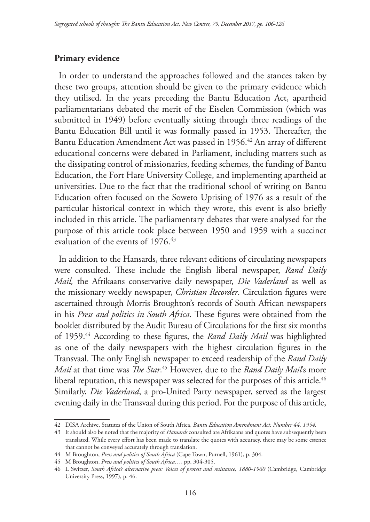#### **Primary evidence**

In order to understand the approaches followed and the stances taken by these two groups, attention should be given to the primary evidence which they utilised. In the years preceding the Bantu Education Act, apartheid parliamentarians debated the merit of the Eiselen Commission (which was submitted in 1949) before eventually sitting through three readings of the Bantu Education Bill until it was formally passed in 1953. Thereafter, the Bantu Education Amendment Act was passed in 1956.<sup>42</sup> An array of different educational concerns were debated in Parliament, including matters such as the dissipating control of missionaries, feeding schemes, the funding of Bantu Education, the Fort Hare University College, and implementing apartheid at universities. Due to the fact that the traditional school of writing on Bantu Education often focused on the Soweto Uprising of 1976 as a result of the particular historical context in which they wrote, this event is also briefly included in this article. The parliamentary debates that were analysed for the purpose of this article took place between 1950 and 1959 with a succinct evaluation of the events of 1976.<sup>43</sup>

In addition to the Hansards, three relevant editions of circulating newspapers were consulted. These include the English liberal newspaper, *Rand Daily Mail,* the Afrikaans conservative daily newspaper, *Die Vaderland* as well as the missionary weekly newspaper, *Christian Recorder*. Circulation figures were ascertained through Morris Broughton's records of South African newspapers in his *Press and politics in South Africa*. These figures were obtained from the booklet distributed by the Audit Bureau of Circulations for the first six months of 1959.44 According to these figures, the *Rand Daily Mail* was highlighted as one of the daily newspapers with the highest circulation figures in the Transvaal. The only English newspaper to exceed readership of the *Rand Daily Mail* at that time was *The Star*. 45 However, due to the *Rand Daily Mail*'s more liberal reputation, this newspaper was selected for the purposes of this article.<sup>46</sup> Similarly, *Die Vaderland*, a pro-United Party newspaper, served as the largest evening daily in the Transvaal during this period. For the purpose of this article,

<sup>42</sup> DISA Archive, Statutes of the Union of South Africa, *Bantu Education Amendment Act. Number 44, 1954.*

<sup>43</sup> It should also be noted that the majority of *Hansards* consulted are Afrikaans and quotes have subsequently been translated. While every effort has been made to translate the quotes with accuracy, there may be some essence that cannot be conveyed accurately through translation.

<sup>44</sup> M Broughton, *Press and politics of South Africa* (Cape Town, Purnell, 1961), p. 304.

<sup>45</sup> M Broughton, *Press and politics of South Africa*…, pp. 304-305.

<sup>46</sup> L Switzer, *South Africa's alternative press: Voices of protest and resistance, 1880-1960* (Cambridge, Cambridge University Press, 1997), p. 46.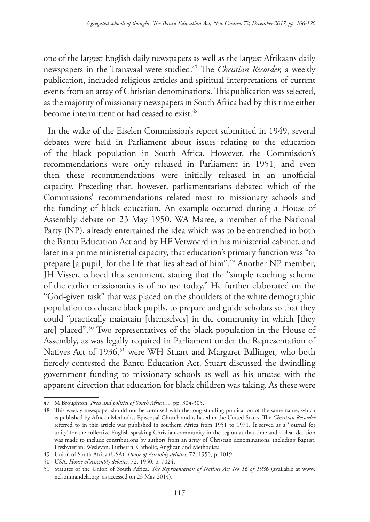one of the largest English daily newspapers as well as the largest Afrikaans daily newspapers in the Transvaal were studied.47 The *Christian Recorder,* a weekly publication, included religious articles and spiritual interpretations of current events from an array of Christian denominations. This publication was selected, as the majority of missionary newspapers in South Africa had by this time either become intermittent or had ceased to exist.<sup>48</sup>

In the wake of the Eiselen Commission's report submitted in 1949, several debates were held in Parliament about issues relating to the education of the black population in South Africa. However, the Commission's recommendations were only released in Parliament in 1951, and even then these recommendations were initially released in an unofficial capacity. Preceding that, however, parliamentarians debated which of the Commissions' recommendations related most to missionary schools and the funding of black education. An example occurred during a House of Assembly debate on 23 May 1950. WA Maree, a member of the National Party (NP), already entertained the idea which was to be entrenched in both the Bantu Education Act and by HF Verwoerd in his ministerial cabinet, and later in a prime ministerial capacity, that education's primary function was "to prepare [a pupil] for the life that lies ahead of him".49 Another NP member, JH Visser, echoed this sentiment, stating that the "simple teaching scheme of the earlier missionaries is of no use today." He further elaborated on the "God-given task" that was placed on the shoulders of the white demographic population to educate black pupils, to prepare and guide scholars so that they could "practically maintain [themselves] in the community in which [they are] placed".50 Two representatives of the black population in the House of Assembly, as was legally required in Parliament under the Representation of Natives Act of 1936,<sup>51</sup> were WH Stuart and Margaret Ballinger, who both fiercely contested the Bantu Education Act. Stuart discussed the dwindling government funding to missionary schools as well as his unease with the apparent direction that education for black children was taking. As these were

<sup>47</sup> M Broughton, *Press and politics of South Africa*…, pp. 304-305.

<sup>48</sup> This weekly newspaper should not be confused with the long-standing publication of the same name, which is published by African Methodist Episcopal Church and is based in the United States. The *Christian Recorder* referred to in this article was published in southern Africa from 1951 to 1971. It served as a 'journal for unity' for the collective English-speaking Christian community in the region at that time and a clear decision was made to include contributions by authors from an array of Christian denominations, including Baptist, Presbyterian, Wesleyan, Lutheran, Catholic, Anglican and Methodists.

<sup>49</sup> Union of South Africa (USA), *House of Assembly debates,* 72, 1950, p. 1019.

<sup>50</sup> USA, *House of Assembly debates,* 72, 1950. p. 7024.

<sup>51</sup> Statutes of the Union of South Africa. *The Representation of Natives Act No 16 of 1936* (available at www. nelsonmandela.org, as accessed on 23 May 2014).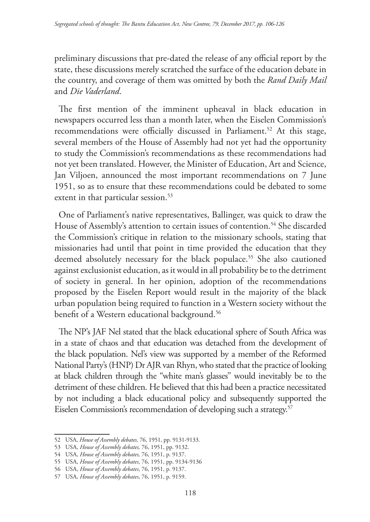preliminary discussions that pre-dated the release of any official report by the state, these discussions merely scratched the surface of the education debate in the country, and coverage of them was omitted by both the *Rand Daily Mail* and *Die Vaderland*.

The first mention of the imminent upheaval in black education in newspapers occurred less than a month later, when the Eiselen Commission's recommendations were officially discussed in Parliament.<sup>52</sup> At this stage, several members of the House of Assembly had not yet had the opportunity to study the Commission's recommendations as these recommendations had not yet been translated. However, the Minister of Education, Art and Science, Jan Viljoen, announced the most important recommendations on 7 June 1951, so as to ensure that these recommendations could be debated to some extent in that particular session.<sup>53</sup>

One of Parliament's native representatives, Ballinger, was quick to draw the House of Assembly's attention to certain issues of contention.<sup>54</sup> She discarded the Commission's critique in relation to the missionary schools, stating that missionaries had until that point in time provided the education that they deemed absolutely necessary for the black populace.<sup>55</sup> She also cautioned against exclusionist education, as it would in all probability be to the detriment of society in general. In her opinion, adoption of the recommendations proposed by the Eiselen Report would result in the majority of the black urban population being required to function in a Western society without the benefit of a Western educational background.<sup>56</sup>

The NP's JAF Nel stated that the black educational sphere of South Africa was in a state of chaos and that education was detached from the development of the black population. Nel's view was supported by a member of the Reformed National Party's (HNP) Dr AJR van Rhyn, who stated that the practice of looking at black children through the "white man's glasses" would inevitably be to the detriment of these children. He believed that this had been a practice necessitated by not including a black educational policy and subsequently supported the Eiselen Commission's recommendation of developing such a strategy.<sup>57</sup>

<sup>52</sup> USA, *House of Assembly debates,* 76, 1951, pp. 9131-9133.

<sup>53</sup> USA, *House of Assembly debates,* 76, 1951, pp. 9132.

<sup>54</sup> USA, *House of Assembly debates,* 76, 1951, p. 9137.

<sup>55</sup> USA, *House of Assembly debates*, 76, 1951, pp. 9134-9136

<sup>56</sup> USA, *House of Assembly debates*, 76, 1951, p. 9137.

<sup>57</sup> USA, *House of Assembly debates*, 76, 1951, p. 9159.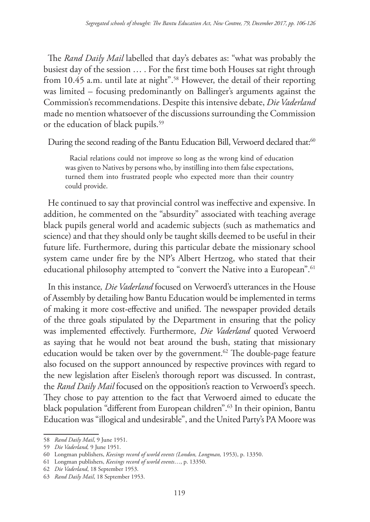The *Rand Daily Mail* labelled that day's debates as: "what was probably the busiest day of the session … . For the first time both Houses sat right through from 10.45 a.m. until late at night".<sup>58</sup> However, the detail of their reporting was limited – focusing predominantly on Ballinger's arguments against the Commission's recommendations. Despite this intensive debate, *Die Vaderland*  made no mention whatsoever of the discussions surrounding the Commission or the education of black pupils.<sup>59</sup>

During the second reading of the Bantu Education Bill, Verwoerd declared that:<sup>60</sup>

Racial relations could not improve so long as the wrong kind of education was given to Natives by persons who, by instilling into them false expectations, turned them into frustrated people who expected more than their country could provide.

He continued to say that provincial control was ineffective and expensive. In addition, he commented on the "absurdity" associated with teaching average black pupils general world and academic subjects (such as mathematics and science) and that they should only be taught skills deemed to be useful in their future life. Furthermore, during this particular debate the missionary school system came under fire by the NP's Albert Hertzog, who stated that their educational philosophy attempted to "convert the Native into a European".<sup>61</sup>

In this instance*, Die Vaderland* focused on Verwoerd's utterances in the House of Assembly by detailing how Bantu Education would be implemented in terms of making it more cost-effective and unified. The newspaper provided details of the three goals stipulated by the Department in ensuring that the policy was implemented effectively. Furthermore, *Die Vaderland* quoted Verwoerd as saying that he would not beat around the bush, stating that missionary education would be taken over by the government.<sup>62</sup> The double-page feature also focused on the support announced by respective provinces with regard to the new legislation after Eiselen's thorough report was discussed. In contrast, the *Rand Daily Mail* focused on the opposition's reaction to Verwoerd's speech. They chose to pay attention to the fact that Verwoerd aimed to educate the black population "different from European children".63 In their opinion, Bantu Education was "illogical and undesirable", and the United Party's PA Moore was

<sup>58</sup> *Rand Daily Mail*, 9 June 1951.

<sup>59</sup> *Die Vaderland,* 9 June 1951.

<sup>60</sup> Longman publishers, *Keesings record of world events (London, Longman,* 1953), p. 13350.

<sup>61</sup> Longman publishers, *Keesings record of world events*…, p. 13350.

<sup>62</sup> *Die Vaderland*, 18 September 1953.

<sup>63</sup> *Rand Daily Mail*, 18 September 1953.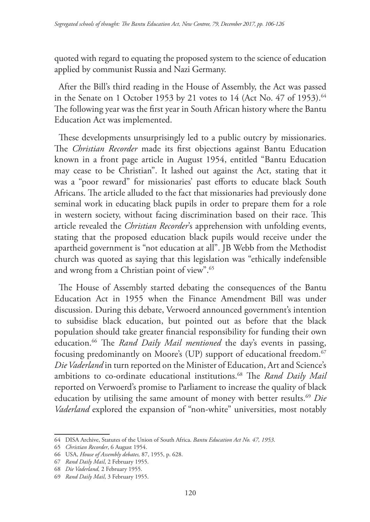quoted with regard to equating the proposed system to the science of education applied by communist Russia and Nazi Germany.

After the Bill's third reading in the House of Assembly, the Act was passed in the Senate on 1 October 1953 by 21 votes to 14 (Act No. 47 of 1953).<sup>64</sup> The following year was the first year in South African history where the Bantu Education Act was implemented.

These developments unsurprisingly led to a public outcry by missionaries. The *Christian Recorder* made its first objections against Bantu Education known in a front page article in August 1954, entitled "Bantu Education may cease to be Christian". It lashed out against the Act, stating that it was a "poor reward" for missionaries' past efforts to educate black South Africans. The article alluded to the fact that missionaries had previously done seminal work in educating black pupils in order to prepare them for a role in western society, without facing discrimination based on their race. This article revealed the *Christian Recorder*'s apprehension with unfolding events, stating that the proposed education black pupils would receive under the apartheid government is "not education at all". JB Webb from the Methodist church was quoted as saying that this legislation was "ethically indefensible and wrong from a Christian point of view".65

The House of Assembly started debating the consequences of the Bantu Education Act in 1955 when the Finance Amendment Bill was under discussion. During this debate, Verwoerd announced government's intention to subsidise black education, but pointed out as before that the black population should take greater financial responsibility for funding their own education.66 The *Rand Daily Mail mentioned* the day's events in passing, focusing predominantly on Moore's (UP) support of educational freedom.<sup>67</sup> *Die Vaderland* in turn reported on the Minister of Education, Art and Science's ambitions to co-ordinate educational institutions.68 The *Rand Daily Mail* reported on Verwoerd's promise to Parliament to increase the quality of black education by utilising the same amount of money with better results.<sup>69</sup> *Die Vaderland* explored the expansion of "non-white" universities, most notably

<sup>64</sup> DISA Archive, Statutes of the Union of South Africa. *Bantu Education Act No. 47, 1953*.

<sup>65</sup> *Christian Recorder*, 6 August 1954.

<sup>66</sup> USA, *House of Assembly debates,* 87, 1955, p. 628.

<sup>67</sup> *Rand Daily Mail*, 2 February 1955.

<sup>68</sup> *Die Vaderland,* 2 February 1955.

<sup>69</sup> *Rand Daily Mail*, 3 February 1955.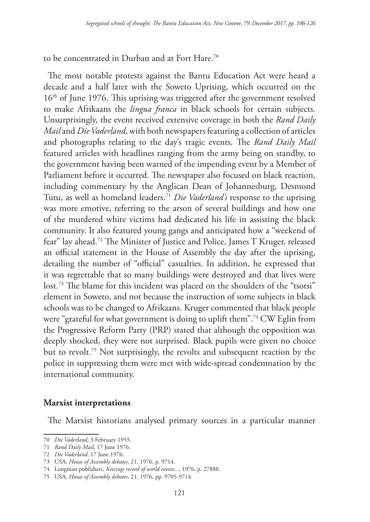to be concentrated in Durban and at Fort Hare.70

The most notable protests against the Bantu Education Act were heard a decade and a half later with the Soweto Uprising, which occurred on the 16th of June 1976. This uprising was triggered after the government resolved to make Afrikaans the *lingua franca* in black schools for certain subjects. Unsurprisingly, the event received extensive coverage in both the *Rand Daily Mail* and *Die Vaderland*, with both newspapers featuring a collection of articles and photographs relating to the day's tragic events. The *Rand Daily Mail* featured articles with headlines ranging from the army being on standby, to the government having been warned of the impending event by a Member of Parliament before it occurred. The newspaper also focused on black reaction, including commentary by the Anglican Dean of Johannesburg, Desmond Tutu, as well as homeland leaders.71 *Die Vaderland's* response to the uprising was more emotive, referring to the arson of several buildings and how one of the murdered white victims had dedicated his life in assisting the black community. It also featured young gangs and anticipated how a "weekend of fear" lay ahead.72 The Minister of Justice and Police, James T Kruger, released an official statement in the House of Assembly the day after the uprising, detailing the number of "official" casualties. In addition, he expressed that it was regrettable that so many buildings were destroyed and that lives were lost.73 The blame for this incident was placed on the shoulders of the "tsotsi" element in Soweto, and not because the instruction of some subjects in black schools was to be changed to Afrikaans. Kruger commented that black people were "grateful for what government is doing to uplift them".74 CW Eglin from the Progressive Reform Party (PRP) stated that although the opposition was deeply shocked, they were not surprised. Black pupils were given no choice but to revolt.75 Not surprisingly, the revolts and subsequent reaction by the police in suppressing them were met with wide-spread condemnation by the international community.

### **Marxist interpretations**

The Marxist historians analysed primary sources in a particular manner

<sup>70</sup> *Die Vaderland*, 3 February 1955.

<sup>71</sup> *Rand Daily Mail,* 17 June 1976.

<sup>72</sup> *Die Vaderland*, 17 June 1976.

<sup>73</sup> USA, *House of Assembly debates*, 21, 1976, p. 9714.

<sup>74</sup> Longman publishers, *Keesings record of world events...*, 1976, p. 27888.

<sup>75</sup> USA, *House of Assembly debates*, 21, 1976, pp. 9705-9714.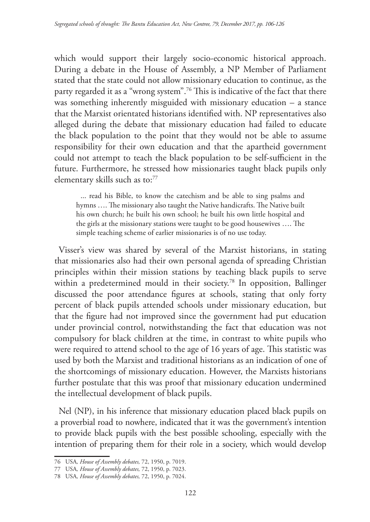which would support their largely socio-economic historical approach. During a debate in the House of Assembly, a NP Member of Parliament stated that the state could not allow missionary education to continue, as the party regarded it as a "wrong system".76 This is indicative of the fact that there was something inherently misguided with missionary education – a stance that the Marxist orientated historians identified with. NP representatives also alleged during the debate that missionary education had failed to educate the black population to the point that they would not be able to assume responsibility for their own education and that the apartheid government could not attempt to teach the black population to be self-sufficient in the future. Furthermore, he stressed how missionaries taught black pupils only elementary skills such as to:<sup>77</sup>

... read his Bible, to know the catechism and be able to sing psalms and hymns …. The missionary also taught the Native handicrafts. The Native built his own church; he built his own school; he built his own little hospital and the girls at the missionary stations were taught to be good housewives …. The simple teaching scheme of earlier missionaries is of no use today.

Visser's view was shared by several of the Marxist historians, in stating that missionaries also had their own personal agenda of spreading Christian principles within their mission stations by teaching black pupils to serve within a predetermined mould in their society.<sup>78</sup> In opposition, Ballinger discussed the poor attendance figures at schools, stating that only forty percent of black pupils attended schools under missionary education, but that the figure had not improved since the government had put education under provincial control, notwithstanding the fact that education was not compulsory for black children at the time, in contrast to white pupils who were required to attend school to the age of 16 years of age. This statistic was used by both the Marxist and traditional historians as an indication of one of the shortcomings of missionary education. However, the Marxists historians further postulate that this was proof that missionary education undermined the intellectual development of black pupils.

Nel (NP), in his inference that missionary education placed black pupils on a proverbial road to nowhere, indicated that it was the government's intention to provide black pupils with the best possible schooling, especially with the intention of preparing them for their role in a society, which would develop

<sup>76</sup> USA*, House of Assembly debates,* 72, 1950, p. 7019.

<sup>77</sup> USA*, House of Assembly debates,* 72, 1950, p. 7023.

<sup>78</sup> USA*, House of Assembly debates,* 72, 1950, p. 7024.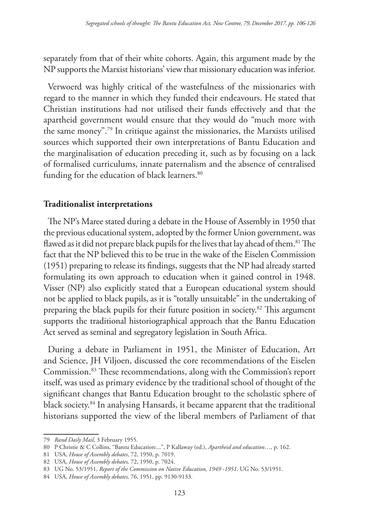separately from that of their white cohorts. Again, this argument made by the NP supports the Marxist historians' view that missionary education was inferior.

Verwoerd was highly critical of the wastefulness of the missionaries with regard to the manner in which they funded their endeavours. He stated that Christian institutions had not utilised their funds effectively and that the apartheid government would ensure that they would do "much more with the same money".79 In critique against the missionaries, the Marxists utilised sources which supported their own interpretations of Bantu Education and the marginalisation of education preceding it, such as by focusing on a lack of formalised curriculums, innate paternalism and the absence of centralised funding for the education of black learners.<sup>80</sup>

### **Traditionalist interpretations**

The NP's Maree stated during a debate in the House of Assembly in 1950 that the previous educational system, adopted by the former Union government, was flawed as it did not prepare black pupils for the lives that lay ahead of them.<sup>81</sup> The fact that the NP believed this to be true in the wake of the Eiselen Commission (1951) preparing to release its findings, suggests that the NP had already started formulating its own approach to education when it gained control in 1948. Visser (NP) also explicitly stated that a European educational system should not be applied to black pupils, as it is "totally unsuitable" in the undertaking of preparing the black pupils for their future position in society.82 This argument supports the traditional historiographical approach that the Bantu Education Act served as seminal and segregatory legislation in South Africa.

During a debate in Parliament in 1951, the Minister of Education, Art and Science, JH Viljoen, discussed the core recommendations of the Eiselen Commission.83 These recommendations, along with the Commission's report itself, was used as primary evidence by the traditional school of thought of the significant changes that Bantu Education brought to the scholastic sphere of black society.84 In analysing Hansards, it became apparent that the traditional historians supported the view of the liberal members of Parliament of that

<sup>79</sup> *Rand Daily Mail*, 3 February 1955.

<sup>80</sup> P Christie & C Collins, "Bantu Education:...", P Kallaway (ed.), *Apartheid and education*…, p. 162.

<sup>81</sup> USA, *House of Assembly debates*, 72, 1950, p. 7019.

<sup>82</sup> USA, *House of Assembly debates,* 72, 1950, p. 7024.

<sup>83</sup> UG No. 53/1951, *Report of the Commission on Native Education, 1949 -1951*. UG No. 53/1951.

<sup>84</sup> USA, *House of Assembly debates,* 76, 1951, pp. 9130-9133.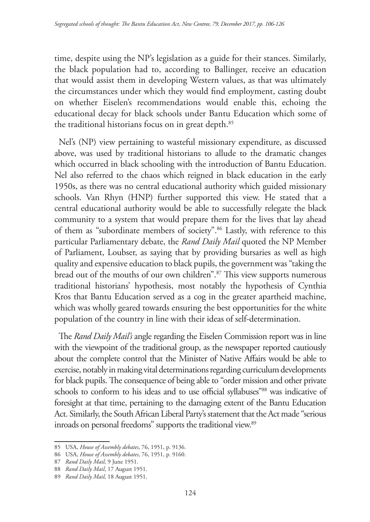time, despite using the NP's legislation as a guide for their stances. Similarly, the black population had to, according to Ballinger, receive an education that would assist them in developing Western values, as that was ultimately the circumstances under which they would find employment, casting doubt on whether Eiselen's recommendations would enable this, echoing the educational decay for black schools under Bantu Education which some of the traditional historians focus on in great depth.<sup>85</sup>

Nel's (NP) view pertaining to wasteful missionary expenditure, as discussed above, was used by traditional historians to allude to the dramatic changes which occurred in black schooling with the introduction of Bantu Education. Nel also referred to the chaos which reigned in black education in the early 1950s, as there was no central educational authority which guided missionary schools. Van Rhyn (HNP) further supported this view. He stated that a central educational authority would be able to successfully relegate the black community to a system that would prepare them for the lives that lay ahead of them as "subordinate members of society".86 Lastly, with reference to this particular Parliamentary debate, the *Rand Daily Mail* quoted the NP Member of Parliament, Loubser, as saying that by providing bursaries as well as high quality and expensive education to black pupils, the government was "taking the bread out of the mouths of our own children".<sup>87</sup> This view supports numerous traditional historians' hypothesis, most notably the hypothesis of Cynthia Kros that Bantu Education served as a cog in the greater apartheid machine, which was wholly geared towards ensuring the best opportunities for the white population of the country in line with their ideas of self-determination.

The *Rand Daily Mail's* angle regarding the Eiselen Commission report was in line with the viewpoint of the traditional group, as the newspaper reported cautiously about the complete control that the Minister of Native Affairs would be able to exercise, notably in making vital determinations regarding curriculum developments for black pupils. The consequence of being able to "order mission and other private schools to conform to his ideas and to use official syllabuses"<sup>88</sup> was indicative of foresight at that time, pertaining to the damaging extent of the Bantu Education Act. Similarly, the South African Liberal Party's statement that the Act made "serious inroads on personal freedoms" supports the traditional view.<sup>89</sup>

87 *Rand Daily Mail*, 9 June 1951.

<sup>85</sup> USA, *House of Assembly debates*, 76, 1951, p. 9136.

<sup>86</sup> USA, *House of Assembly debates*, 76, 1951, p. 9160.

<sup>88</sup> *Rand Daily Mail*, 17 August 1951.

<sup>89</sup> *Rand Daily Mail*, 18 August 1951.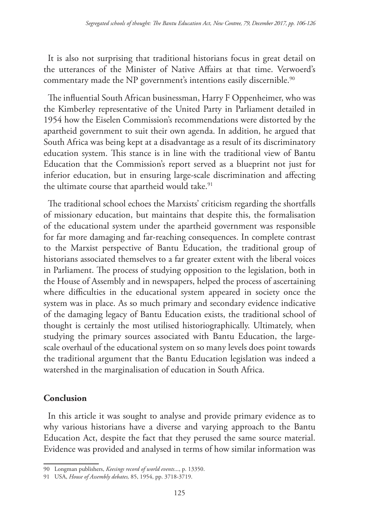It is also not surprising that traditional historians focus in great detail on the utterances of the Minister of Native Affairs at that time. Verwoerd's commentary made the NP government's intentions easily discernible.<sup>90</sup>

The influential South African businessman, Harry F Oppenheimer, who was the Kimberley representative of the United Party in Parliament detailed in 1954 how the Eiselen Commission's recommendations were distorted by the apartheid government to suit their own agenda. In addition, he argued that South Africa was being kept at a disadvantage as a result of its discriminatory education system. This stance is in line with the traditional view of Bantu Education that the Commission's report served as a blueprint not just for inferior education, but in ensuring large-scale discrimination and affecting the ultimate course that apartheid would take.<sup>91</sup>

The traditional school echoes the Marxists' criticism regarding the shortfalls of missionary education, but maintains that despite this, the formalisation of the educational system under the apartheid government was responsible for far more damaging and far-reaching consequences. In complete contrast to the Marxist perspective of Bantu Education, the traditional group of historians associated themselves to a far greater extent with the liberal voices in Parliament. The process of studying opposition to the legislation, both in the House of Assembly and in newspapers, helped the process of ascertaining where difficulties in the educational system appeared in society once the system was in place. As so much primary and secondary evidence indicative of the damaging legacy of Bantu Education exists, the traditional school of thought is certainly the most utilised historiographically. Ultimately, when studying the primary sources associated with Bantu Education, the largescale overhaul of the educational system on so many levels does point towards the traditional argument that the Bantu Education legislation was indeed a watershed in the marginalisation of education in South Africa.

# **Conclusion**

In this article it was sought to analyse and provide primary evidence as to why various historians have a diverse and varying approach to the Bantu Education Act, despite the fact that they perused the same source material. Evidence was provided and analysed in terms of how similar information was

<sup>90</sup> Longman publishers, *Keesings record of world events*..., p. 13350.

<sup>91</sup> USA, *House of Assembly debates,* 85, 1954, pp. 3718-3719.